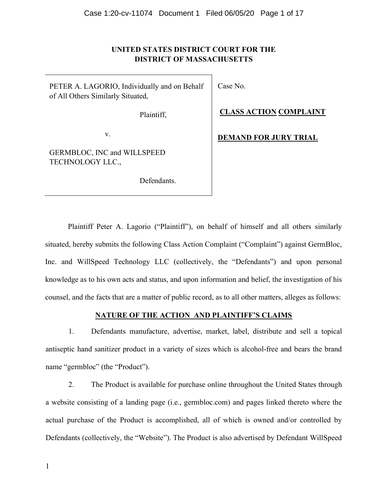## UNITED STATES DISTRICT COURT FOR THE DISTRICT OF MASSACHUSETTS

PETER A. LAGORIO, Individually and on Behalf of All Others Similarly Situated,

Plaintiff,

v.

GERMBLOC, INC and WILLSPEED TECHNOLOGY LLC.,

Defendants.

Case No.

CLASS ACTION COMPLAINT

DEMAND FOR JURY TRIAL

Plaintiff Peter A. Lagorio ("Plaintiff"), on behalf of himself and all others similarly situated, hereby submits the following Class Action Complaint ("Complaint") against GermBloc, Inc. and WillSpeed Technology LLC (collectively, the "Defendants") and upon personal knowledge as to his own acts and status, and upon information and belief, the investigation of his counsel, and the facts that are a matter of public record, as to all other matters, alleges as follows:

## NATURE OF THE ACTION\_AND PLAINTIFF'S CLAIMS

1. Defendants manufacture, advertise, market, label, distribute and sell a topical antiseptic hand sanitizer product in a variety of sizes which is alcohol-free and bears the brand name "germbloc" (the "Product").

2. The Product is available for purchase online throughout the United States through a website consisting of a landing page (i.e., germbloc.com) and pages linked thereto where the actual purchase of the Product is accomplished, all of which is owned and/or controlled by Defendants (collectively, the "Website"). The Product is also advertised by Defendant WillSpeed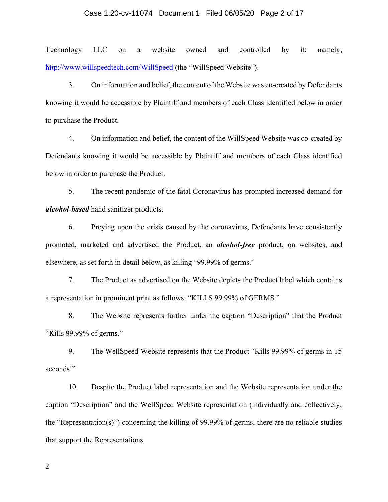#### Case 1:20-cv-11074 Document 1 Filed 06/05/20 Page 2 of 17

Technology LLC on a website owned and controlled by it; namely, http://www.willspeedtech.com/WillSpeed (the "WillSpeed Website").

3. On information and belief, the content of the Website was co-created by Defendants knowing it would be accessible by Plaintiff and members of each Class identified below in order to purchase the Product.

4. On information and belief, the content of the WillSpeed Website was co-created by Defendants knowing it would be accessible by Plaintiff and members of each Class identified below in order to purchase the Product.

5. The recent pandemic of the fatal Coronavirus has prompted increased demand for alcohol-based hand sanitizer products.

6. Preying upon the crisis caused by the coronavirus, Defendants have consistently promoted, marketed and advertised the Product, an alcohol-free product, on websites, and elsewhere, as set forth in detail below, as killing "99.99% of germs."

7. The Product as advertised on the Website depicts the Product label which contains a representation in prominent print as follows: "KILLS 99.99% of GERMS."

8. The Website represents further under the caption "Description" that the Product "Kills 99.99% of germs."

9. The WellSpeed Website represents that the Product "Kills 99.99% of germs in 15 seconds!"

10. Despite the Product label representation and the Website representation under the caption "Description" and the WellSpeed Website representation (individually and collectively, the "Representation(s)") concerning the killing of 99.99% of germs, there are no reliable studies that support the Representations.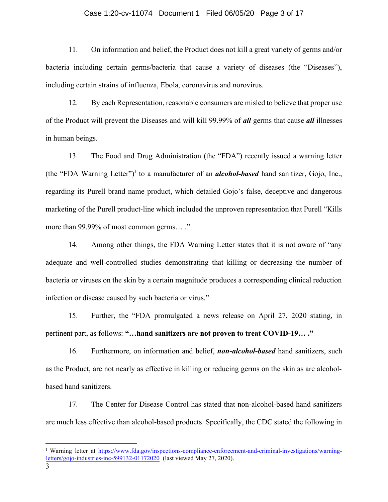#### Case 1:20-cv-11074 Document 1 Filed 06/05/20 Page 3 of 17

11. On information and belief, the Product does not kill a great variety of germs and/or bacteria including certain germs/bacteria that cause a variety of diseases (the "Diseases"), including certain strains of influenza, Ebola, coronavirus and norovirus.

12. By each Representation, reasonable consumers are misled to believe that proper use of the Product will prevent the Diseases and will kill 99.99% of *all* germs that cause *all* illnesses in human beings.

13. The Food and Drug Administration (the "FDA") recently issued a warning letter (the "FDA Warning Letter")<sup>1</sup> to a manufacturer of an **alcohol-based** hand sanitizer, Gojo, Inc., regarding its Purell brand name product, which detailed Gojo's false, deceptive and dangerous marketing of the Purell product-line which included the unproven representation that Purell "Kills more than 99.99% of most common germs… ."

14. Among other things, the FDA Warning Letter states that it is not aware of "any adequate and well-controlled studies demonstrating that killing or decreasing the number of bacteria or viruses on the skin by a certain magnitude produces a corresponding clinical reduction infection or disease caused by such bacteria or virus."

15. Further, the "FDA promulgated a news release on April 27, 2020 stating, in pertinent part, as follows: "…hand sanitizers are not proven to treat COVID-19… ."

16. Furthermore, on information and belief, non-alcohol-based hand sanitizers, such as the Product, are not nearly as effective in killing or reducing germs on the skin as are alcoholbased hand sanitizers.

17. The Center for Disease Control has stated that non-alcohol-based hand sanitizers are much less effective than alcohol-based products. Specifically, the CDC stated the following in

<sup>&</sup>lt;sup>1</sup> Warning letter at https://www.fda.gov/inspections-compliance-enforcement-and-criminal-investigations/warningletters/gojo-industries-inc-599132-01172020 (last viewed May 27, 2020).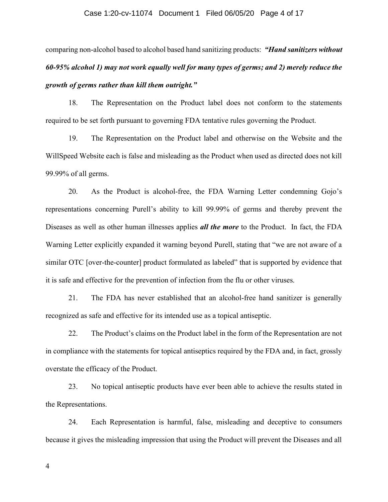#### Case 1:20-cv-11074 Document 1 Filed 06/05/20 Page 4 of 17

comparing non-alcohol based to alcohol based hand sanitizing products: "Hand sanitizers without 60-95% alcohol 1) may not work equally well for many types of germs; and 2) merely reduce the growth of germs rather than kill them outright."

18. The Representation on the Product label does not conform to the statements required to be set forth pursuant to governing FDA tentative rules governing the Product.

19. The Representation on the Product label and otherwise on the Website and the WillSpeed Website each is false and misleading as the Product when used as directed does not kill 99.99% of all germs.

20. As the Product is alcohol-free, the FDA Warning Letter condemning Gojo's representations concerning Purell's ability to kill 99.99% of germs and thereby prevent the Diseases as well as other human illnesses applies *all the more* to the Product. In fact, the FDA Warning Letter explicitly expanded it warning beyond Purell, stating that "we are not aware of a similar OTC [over-the-counter] product formulated as labeled" that is supported by evidence that it is safe and effective for the prevention of infection from the flu or other viruses.

21. The FDA has never established that an alcohol-free hand sanitizer is generally recognized as safe and effective for its intended use as a topical antiseptic.

22. The Product's claims on the Product label in the form of the Representation are not in compliance with the statements for topical antiseptics required by the FDA and, in fact, grossly overstate the efficacy of the Product.

23. No topical antiseptic products have ever been able to achieve the results stated in the Representations.

24. Each Representation is harmful, false, misleading and deceptive to consumers because it gives the misleading impression that using the Product will prevent the Diseases and all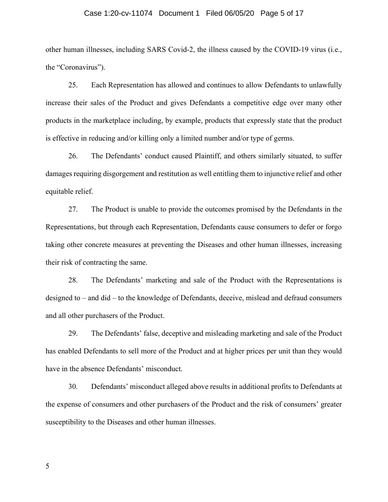#### Case 1:20-cv-11074 Document 1 Filed 06/05/20 Page 5 of 17

other human illnesses, including SARS Covid-2, the illness caused by the COVID-19 virus (i.e., the "Coronavirus").

25. Each Representation has allowed and continues to allow Defendants to unlawfully increase their sales of the Product and gives Defendants a competitive edge over many other products in the marketplace including, by example, products that expressly state that the product is effective in reducing and/or killing only a limited number and/or type of germs.

26. The Defendants' conduct caused Plaintiff, and others similarly situated, to suffer damages requiring disgorgement and restitution as well entitling them to injunctive relief and other equitable relief.

27. The Product is unable to provide the outcomes promised by the Defendants in the Representations, but through each Representation, Defendants cause consumers to defer or forgo taking other concrete measures at preventing the Diseases and other human illnesses, increasing their risk of contracting the same.

28. The Defendants' marketing and sale of the Product with the Representations is designed to – and did – to the knowledge of Defendants, deceive, mislead and defraud consumers and all other purchasers of the Product.

29. The Defendants' false, deceptive and misleading marketing and sale of the Product has enabled Defendants to sell more of the Product and at higher prices per unit than they would have in the absence Defendants' misconduct.

30. Defendants' misconduct alleged above results in additional profits to Defendants at the expense of consumers and other purchasers of the Product and the risk of consumers' greater susceptibility to the Diseases and other human illnesses.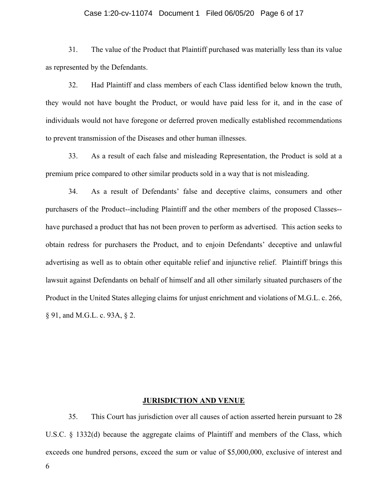#### Case 1:20-cv-11074 Document 1 Filed 06/05/20 Page 6 of 17

31. The value of the Product that Plaintiff purchased was materially less than its value as represented by the Defendants.

32. Had Plaintiff and class members of each Class identified below known the truth, they would not have bought the Product, or would have paid less for it, and in the case of individuals would not have foregone or deferred proven medically established recommendations to prevent transmission of the Diseases and other human illnesses.

33. As a result of each false and misleading Representation, the Product is sold at a premium price compared to other similar products sold in a way that is not misleading.

34. As a result of Defendants' false and deceptive claims, consumers and other purchasers of the Product--including Plaintiff and the other members of the proposed Classes- have purchased a product that has not been proven to perform as advertised. This action seeks to obtain redress for purchasers the Product, and to enjoin Defendants' deceptive and unlawful advertising as well as to obtain other equitable relief and injunctive relief. Plaintiff brings this lawsuit against Defendants on behalf of himself and all other similarly situated purchasers of the Product in the United States alleging claims for unjust enrichment and violations of M.G.L. c. 266, § 91, and M.G.L. c. 93A, § 2.

## JURISDICTION AND VENUE

35. This Court has jurisdiction over all causes of action asserted herein pursuant to 28 U.S.C. § 1332(d) because the aggregate claims of Plaintiff and members of the Class, which exceeds one hundred persons, exceed the sum or value of \$5,000,000, exclusive of interest and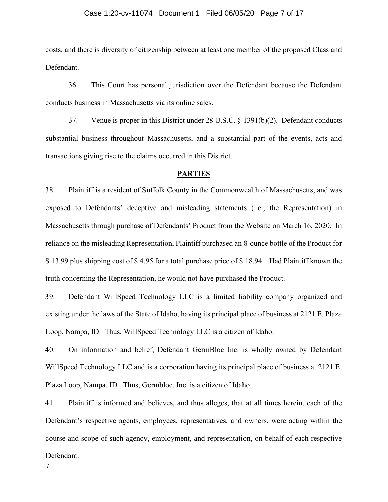#### Case 1:20-cv-11074 Document 1 Filed 06/05/20 Page 7 of 17

costs, and there is diversity of citizenship between at least one member of the proposed Class and Defendant.

36. This Court has personal jurisdiction over the Defendant because the Defendant conducts business in Massachusetts via its online sales.

37. Venue is proper in this District under 28 U.S.C. § 1391(b)(2). Defendant conducts substantial business throughout Massachusetts, and a substantial part of the events, acts and transactions giving rise to the claims occurred in this District.

## **PARTIES**

38. Plaintiff is a resident of Suffolk County in the Commonwealth of Massachusetts, and was exposed to Defendants' deceptive and misleading statements (i.e., the Representation) in Massachusetts through purchase of Defendants' Product from the Website on March 16, 2020. In reliance on the misleading Representation, Plaintiff purchased an 8-ounce bottle of the Product for \$ 13.99 plus shipping cost of \$ 4.95 for a total purchase price of \$ 18.94. Had Plaintiff known the truth concerning the Representation, he would not have purchased the Product.

39. Defendant WillSpeed Technology LLC is a limited liability company organized and existing under the laws of the State of Idaho, having its principal place of business at 2121 E. Plaza Loop, Nampa, ID. Thus, WillSpeed Technology LLC is a citizen of Idaho.

40. On information and belief, Defendant GermBloc Inc. is wholly owned by Defendant WillSpeed Technology LLC and is a corporation having its principal place of business at 2121 E. Plaza Loop, Nampa, ID. Thus, Germbloc, Inc. is a citizen of Idaho.

41. Plaintiff is informed and believes, and thus alleges, that at all times herein, each of the Defendant's respective agents, employees, representatives, and owners, were acting within the course and scope of such agency, employment, and representation, on behalf of each respective Defendant.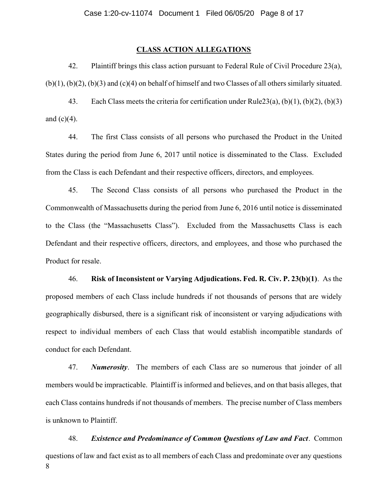## CLASS ACTION ALLEGATIONS

42. Plaintiff brings this class action pursuant to Federal Rule of Civil Procedure 23(a),  $(b)(1)$ ,  $(b)(2)$ ,  $(b)(3)$  and  $(c)(4)$  on behalf of himself and two Classes of all others similarly situated.

43. Each Class meets the criteria for certification under Rule23(a), (b)(1), (b)(2), (b)(3) and  $(c)(4)$ .

44. The first Class consists of all persons who purchased the Product in the United States during the period from June 6, 2017 until notice is disseminated to the Class. Excluded from the Class is each Defendant and their respective officers, directors, and employees.

45. The Second Class consists of all persons who purchased the Product in the Commonwealth of Massachusetts during the period from June 6, 2016 until notice is disseminated to the Class (the "Massachusetts Class"). Excluded from the Massachusetts Class is each Defendant and their respective officers, directors, and employees, and those who purchased the Product for resale.

46. Risk of Inconsistent or Varying Adjudications. Fed. R. Civ. P. 23(b)(1). As the proposed members of each Class include hundreds if not thousands of persons that are widely geographically disbursed, there is a significant risk of inconsistent or varying adjudications with respect to individual members of each Class that would establish incompatible standards of conduct for each Defendant.

47. Numerosity. The members of each Class are so numerous that joinder of all members would be impracticable. Plaintiff is informed and believes, and on that basis alleges, that each Class contains hundreds if not thousands of members. The precise number of Class members is unknown to Plaintiff.

8 48. Existence and Predominance of Common Questions of Law and Fact. Common questions of law and fact exist as to all members of each Class and predominate over any questions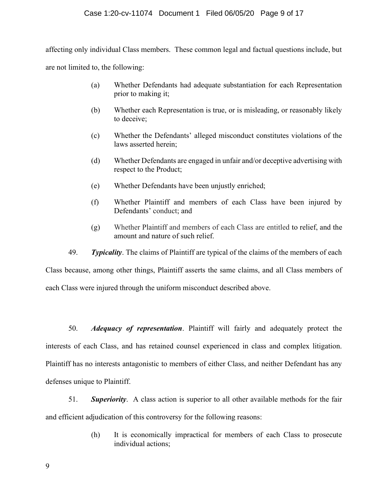## Case 1:20-cv-11074 Document 1 Filed 06/05/20 Page 9 of 17

affecting only individual Class members. These common legal and factual questions include, but are not limited to, the following:

- (a) Whether Defendants had adequate substantiation for each Representation prior to making it;
- (b) Whether each Representation is true, or is misleading, or reasonably likely to deceive;
- (c) Whether the Defendants' alleged misconduct constitutes violations of the laws asserted herein;
- (d) Whether Defendants are engaged in unfair and/or deceptive advertising with respect to the Product;
- (e) Whether Defendants have been unjustly enriched;
- (f) Whether Plaintiff and members of each Class have been injured by Defendants' conduct; and
- (g) Whether Plaintiff and members of each Class are entitled to relief, and the amount and nature of such relief.
- 49. Typicality. The claims of Plaintiff are typical of the claims of the members of each

Class because, among other things, Plaintiff asserts the same claims, and all Class members of each Class were injured through the uniform misconduct described above.

50. Adequacy of representation. Plaintiff will fairly and adequately protect the interests of each Class, and has retained counsel experienced in class and complex litigation. Plaintiff has no interests antagonistic to members of either Class, and neither Defendant has any defenses unique to Plaintiff.

51. Superiority. A class action is superior to all other available methods for the fair and efficient adjudication of this controversy for the following reasons:

> (h) It is economically impractical for members of each Class to prosecute individual actions;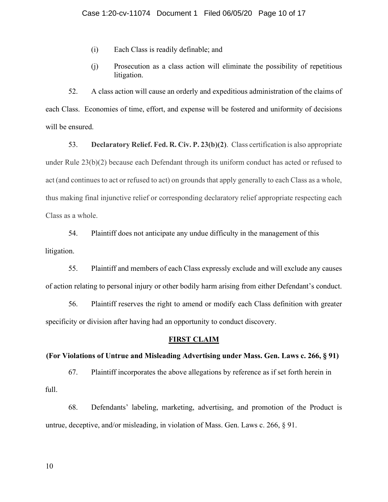- (i) Each Class is readily definable; and
- (j) Prosecution as a class action will eliminate the possibility of repetitious litigation.

52. A class action will cause an orderly and expeditious administration of the claims of each Class. Economies of time, effort, and expense will be fostered and uniformity of decisions will be ensured.

53. Declaratory Relief. Fed. R. Civ. P. 23(b)(2). Class certification is also appropriate under Rule 23(b)(2) because each Defendant through its uniform conduct has acted or refused to act (and continues to act or refused to act) on grounds that apply generally to each Class as a whole, thus making final injunctive relief or corresponding declaratory relief appropriate respecting each Class as a whole.

54. Plaintiff does not anticipate any undue difficulty in the management of this litigation.

55. Plaintiff and members of each Class expressly exclude and will exclude any causes of action relating to personal injury or other bodily harm arising from either Defendant's conduct.

56. Plaintiff reserves the right to amend or modify each Class definition with greater specificity or division after having had an opportunity to conduct discovery.

## FIRST CLAIM

## (For Violations of Untrue and Misleading Advertising under Mass. Gen. Laws c. 266, § 91)

67. Plaintiff incorporates the above allegations by reference as if set forth herein in full.

68. Defendants' labeling, marketing, advertising, and promotion of the Product is untrue, deceptive, and/or misleading, in violation of Mass. Gen. Laws c. 266, § 91.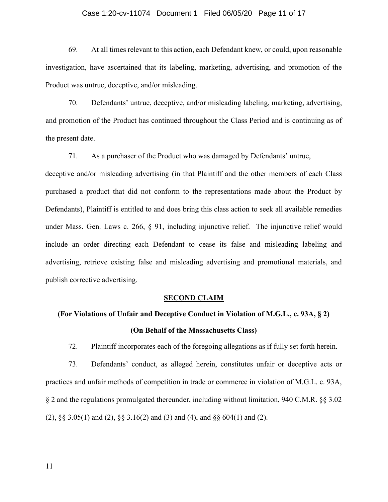#### Case 1:20-cv-11074 Document 1 Filed 06/05/20 Page 11 of 17

69. At all times relevant to this action, each Defendant knew, or could, upon reasonable investigation, have ascertained that its labeling, marketing, advertising, and promotion of the Product was untrue, deceptive, and/or misleading.

70. Defendants' untrue, deceptive, and/or misleading labeling, marketing, advertising, and promotion of the Product has continued throughout the Class Period and is continuing as of the present date.

71. As a purchaser of the Product who was damaged by Defendants' untrue,

deceptive and/or misleading advertising (in that Plaintiff and the other members of each Class purchased a product that did not conform to the representations made about the Product by Defendants), Plaintiff is entitled to and does bring this class action to seek all available remedies under Mass. Gen. Laws c. 266, § 91, including injunctive relief. The injunctive relief would include an order directing each Defendant to cease its false and misleading labeling and advertising, retrieve existing false and misleading advertising and promotional materials, and publish corrective advertising.

## SECOND CLAIM

# (For Violations of Unfair and Deceptive Conduct in Violation of M.G.L., c. 93A, § 2) (On Behalf of the Massachusetts Class)

72. Plaintiff incorporates each of the foregoing allegations as if fully set forth herein.

73. Defendants' conduct, as alleged herein, constitutes unfair or deceptive acts or practices and unfair methods of competition in trade or commerce in violation of M.G.L. c. 93A, § 2 and the regulations promulgated thereunder, including without limitation, 940 C.M.R. §§ 3.02 (2), §§ 3.05(1) and (2), §§ 3.16(2) and (3) and (4), and §§ 604(1) and (2).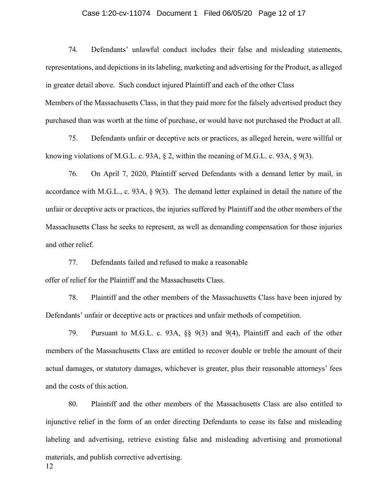#### Case 1:20-cv-11074 Document 1 Filed 06/05/20 Page 12 of 17

74. Defendants' unlawful conduct includes their false and misleading statements, representations, and depictions in its labeling, marketing and advertising for the Product, as alleged in greater detail above. Such conduct injured Plaintiff and each of the other Class Members of the Massachusetts Class, in that they paid more for the falsely advertised product they purchased than was worth at the time of purchase, or would have not purchased the Product at all.

75. Defendants unfair or deceptive acts or practices, as alleged herein, were willful or knowing violations of M.G.L. c. 93A,  $\S$  2, within the meaning of M.G.L. c. 93A,  $\S$  9(3).

76. On April 7, 2020, Plaintiff served Defendants with a demand letter by mail, in accordance with M.G.L., c. 93A, § 9(3). The demand letter explained in detail the nature of the unfair or deceptive acts or practices, the injuries suffered by Plaintiff and the other members of the Massachusetts Class he seeks to represent, as well as demanding compensation for those injuries and other relief.

77. Defendants failed and refused to make a reasonable offer of relief for the Plaintiff and the Massachusetts Class.

78. Plaintiff and the other members of the Massachusetts Class have been injured by Defendants' unfair or deceptive acts or practices and unfair methods of competition.

79. Pursuant to M.G.L. c. 93A, §§ 9(3) and 9(4), Plaintiff and each of the other members of the Massachusetts Class are entitled to recover double or treble the amount of their actual damages, or statutory damages, whichever is greater, plus their reasonable attorneys' fees and the costs of this action.

80. Plaintiff and the other members of the Massachusetts Class are also entitled to injunctive relief in the form of an order directing Defendants to cease its false and misleading labeling and advertising, retrieve existing false and misleading advertising and promotional materials, and publish corrective advertising.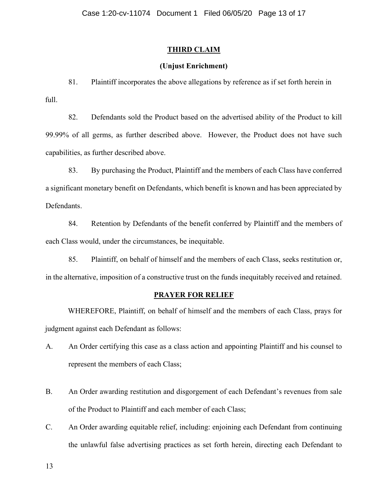## THIRD CLAIM

## (Unjust Enrichment)

81. Plaintiff incorporates the above allegations by reference as if set forth herein in full.

82. Defendants sold the Product based on the advertised ability of the Product to kill 99.99% of all germs, as further described above. However, the Product does not have such capabilities, as further described above.

83. By purchasing the Product, Plaintiff and the members of each Class have conferred a significant monetary benefit on Defendants, which benefit is known and has been appreciated by Defendants.

84. Retention by Defendants of the benefit conferred by Plaintiff and the members of each Class would, under the circumstances, be inequitable.

85. Plaintiff, on behalf of himself and the members of each Class, seeks restitution or, in the alternative, imposition of a constructive trust on the funds inequitably received and retained.

## PRAYER FOR RELIEF

WHEREFORE, Plaintiff, on behalf of himself and the members of each Class, prays for judgment against each Defendant as follows:

- A. An Order certifying this case as a class action and appointing Plaintiff and his counsel to represent the members of each Class;
- B. An Order awarding restitution and disgorgement of each Defendant's revenues from sale of the Product to Plaintiff and each member of each Class;
- C. An Order awarding equitable relief, including: enjoining each Defendant from continuing the unlawful false advertising practices as set forth herein, directing each Defendant to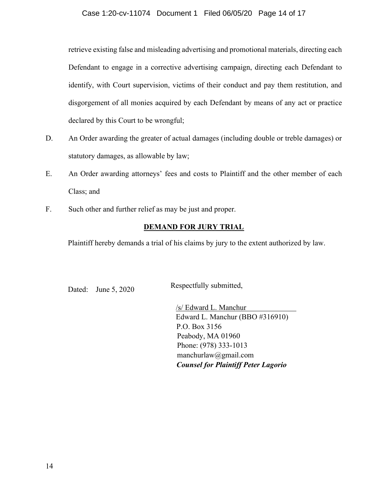## Case 1:20-cv-11074 Document 1 Filed 06/05/20 Page 14 of 17

retrieve existing false and misleading advertising and promotional materials, directing each Defendant to engage in a corrective advertising campaign, directing each Defendant to identify, with Court supervision, victims of their conduct and pay them restitution, and disgorgement of all monies acquired by each Defendant by means of any act or practice declared by this Court to be wrongful;

- D. An Order awarding the greater of actual damages (including double or treble damages) or statutory damages, as allowable by law;
- E. An Order awarding attorneys' fees and costs to Plaintiff and the other member of each Class; and
- F. Such other and further relief as may be just and proper.

## DEMAND FOR JURY TRIAL

Plaintiff hereby demands a trial of his claims by jury to the extent authorized by law.

Dated: June 5, 2020 Respectfully submitted,

/s/ Edward L. Manchur Edward L. Manchur (BBO #316910) P.O. Box 3156 Peabody, MA 01960 Phone: (978) 333-1013 manchurlaw@gmail.com Counsel for Plaintiff Peter Lagorio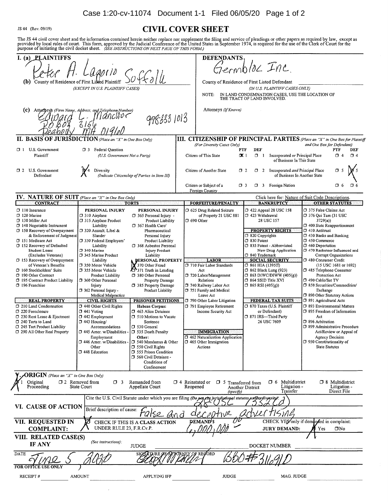Case 1:20-cv-11074 Document 1-1 Filed 06/05/20 Page 1 of 2

JS 44 (Rev. 09/19)

## **CIVIL COVER SHEET**

The JS 44 civil cover sheet and the information contained herein neither replace nor supplement the filing and service of pleadings or other papers as required by law, except as provided by local rules of court. This form,

| I. $(a)$<br><b>PLAINTIFFS</b>                                                                                                                                                                                                                                                                                                                                                                                                                                                                                                                                                                                                           |                                                                                                                                                                                                                                                                                                                                                                                                                                                                                                                                                                                                                                      |                                                                                                                                                                                                                                                                                                                                                                                                                                                                                                                                                                                                                                                                                       |                                    | <b>DEFENDANTS</b>                                                                                                                                                                                                                                                                                                                                                                                                                                               |                                                                                                                                                                                                                       |                                                                                                                                                                                                                                                                                   |                                                                                                                                                                                                                                                                                                                                                                                                                                                                                                                                                                                                                                                                                                                     |
|-----------------------------------------------------------------------------------------------------------------------------------------------------------------------------------------------------------------------------------------------------------------------------------------------------------------------------------------------------------------------------------------------------------------------------------------------------------------------------------------------------------------------------------------------------------------------------------------------------------------------------------------|--------------------------------------------------------------------------------------------------------------------------------------------------------------------------------------------------------------------------------------------------------------------------------------------------------------------------------------------------------------------------------------------------------------------------------------------------------------------------------------------------------------------------------------------------------------------------------------------------------------------------------------|---------------------------------------------------------------------------------------------------------------------------------------------------------------------------------------------------------------------------------------------------------------------------------------------------------------------------------------------------------------------------------------------------------------------------------------------------------------------------------------------------------------------------------------------------------------------------------------------------------------------------------------------------------------------------------------|------------------------------------|-----------------------------------------------------------------------------------------------------------------------------------------------------------------------------------------------------------------------------------------------------------------------------------------------------------------------------------------------------------------------------------------------------------------------------------------------------------------|-----------------------------------------------------------------------------------------------------------------------------------------------------------------------------------------------------------------------|-----------------------------------------------------------------------------------------------------------------------------------------------------------------------------------------------------------------------------------------------------------------------------------|---------------------------------------------------------------------------------------------------------------------------------------------------------------------------------------------------------------------------------------------------------------------------------------------------------------------------------------------------------------------------------------------------------------------------------------------------------------------------------------------------------------------------------------------------------------------------------------------------------------------------------------------------------------------------------------------------------------------|
|                                                                                                                                                                                                                                                                                                                                                                                                                                                                                                                                                                                                                                         |                                                                                                                                                                                                                                                                                                                                                                                                                                                                                                                                                                                                                                      |                                                                                                                                                                                                                                                                                                                                                                                                                                                                                                                                                                                                                                                                                       | Germblac Inc.                      |                                                                                                                                                                                                                                                                                                                                                                                                                                                                 |                                                                                                                                                                                                                       |                                                                                                                                                                                                                                                                                   |                                                                                                                                                                                                                                                                                                                                                                                                                                                                                                                                                                                                                                                                                                                     |
| (b) County of Residence of First Listed Plaintiff                                                                                                                                                                                                                                                                                                                                                                                                                                                                                                                                                                                       |                                                                                                                                                                                                                                                                                                                                                                                                                                                                                                                                                                                                                                      |                                                                                                                                                                                                                                                                                                                                                                                                                                                                                                                                                                                                                                                                                       |                                    | County of Residence of First Listed Defendant                                                                                                                                                                                                                                                                                                                                                                                                                   |                                                                                                                                                                                                                       |                                                                                                                                                                                                                                                                                   |                                                                                                                                                                                                                                                                                                                                                                                                                                                                                                                                                                                                                                                                                                                     |
|                                                                                                                                                                                                                                                                                                                                                                                                                                                                                                                                                                                                                                         | (EXCEPT IN U.S. PLAINTIFF CASES)                                                                                                                                                                                                                                                                                                                                                                                                                                                                                                                                                                                                     |                                                                                                                                                                                                                                                                                                                                                                                                                                                                                                                                                                                                                                                                                       |                                    | NOTE:                                                                                                                                                                                                                                                                                                                                                                                                                                                           | THE TRACT OF LAND INVOLVED.                                                                                                                                                                                           | (IN U.S. PLAINTIFF CASES ONLY)<br>IN LAND CONDEMNATION CASES, USE THE LOCATION OF                                                                                                                                                                                                 |                                                                                                                                                                                                                                                                                                                                                                                                                                                                                                                                                                                                                                                                                                                     |
| (c) -                                                                                                                                                                                                                                                                                                                                                                                                                                                                                                                                                                                                                                   | Attorneys (Firm Name, Address, and Jelephone Number)                                                                                                                                                                                                                                                                                                                                                                                                                                                                                                                                                                                 |                                                                                                                                                                                                                                                                                                                                                                                                                                                                                                                                                                                                                                                                                       |                                    | Attorneys (If Known)                                                                                                                                                                                                                                                                                                                                                                                                                                            |                                                                                                                                                                                                                       |                                                                                                                                                                                                                                                                                   |                                                                                                                                                                                                                                                                                                                                                                                                                                                                                                                                                                                                                                                                                                                     |
|                                                                                                                                                                                                                                                                                                                                                                                                                                                                                                                                                                                                                                         | <i>Irjancilvc</i><br>3156                                                                                                                                                                                                                                                                                                                                                                                                                                                                                                                                                                                                            | 9788831013                                                                                                                                                                                                                                                                                                                                                                                                                                                                                                                                                                                                                                                                            |                                    |                                                                                                                                                                                                                                                                                                                                                                                                                                                                 |                                                                                                                                                                                                                       |                                                                                                                                                                                                                                                                                   |                                                                                                                                                                                                                                                                                                                                                                                                                                                                                                                                                                                                                                                                                                                     |
| <b>II. BASIS OF JURISDICTION</b> (Place an "X" in One Box Only)                                                                                                                                                                                                                                                                                                                                                                                                                                                                                                                                                                         |                                                                                                                                                                                                                                                                                                                                                                                                                                                                                                                                                                                                                                      |                                                                                                                                                                                                                                                                                                                                                                                                                                                                                                                                                                                                                                                                                       |                                    |                                                                                                                                                                                                                                                                                                                                                                                                                                                                 |                                                                                                                                                                                                                       |                                                                                                                                                                                                                                                                                   | III. CITIZENSHIP OF PRINCIPAL PARTIES (Place an "X" in One Box for Plaintiff                                                                                                                                                                                                                                                                                                                                                                                                                                                                                                                                                                                                                                        |
| $\Box$ 1 U.S. Government<br>Plaintiff                                                                                                                                                                                                                                                                                                                                                                                                                                                                                                                                                                                                   | <b>Federal Question</b><br>O 3<br>(U.S. Government Not a Party)                                                                                                                                                                                                                                                                                                                                                                                                                                                                                                                                                                      |                                                                                                                                                                                                                                                                                                                                                                                                                                                                                                                                                                                                                                                                                       |                                    | (For Diversity Cases Only)<br>Citizen of This State                                                                                                                                                                                                                                                                                                                                                                                                             | <b>DEF</b><br><b>PTF</b><br>$\Box$<br>$\propto$ 1                                                                                                                                                                     | Incorporated or Principal Place<br>of Business In This State                                                                                                                                                                                                                      | and One Box for Defendant)<br>PTF<br>DEF<br>$\Box$ 4<br>$\square$ 4                                                                                                                                                                                                                                                                                                                                                                                                                                                                                                                                                                                                                                                 |
| $\Box$ 2 U.S. Government<br>Defendant                                                                                                                                                                                                                                                                                                                                                                                                                                                                                                                                                                                                   | Diversity                                                                                                                                                                                                                                                                                                                                                                                                                                                                                                                                                                                                                            | (Indicate Citizenship of Parties in Item III)                                                                                                                                                                                                                                                                                                                                                                                                                                                                                                                                                                                                                                         |                                    | Citizen of Another State                                                                                                                                                                                                                                                                                                                                                                                                                                        | $\sigma$ 2                                                                                                                                                                                                            | 1 2 Incorporated and Principal Place<br>of Business In Another State                                                                                                                                                                                                              | O 5                                                                                                                                                                                                                                                                                                                                                                                                                                                                                                                                                                                                                                                                                                                 |
|                                                                                                                                                                                                                                                                                                                                                                                                                                                                                                                                                                                                                                         |                                                                                                                                                                                                                                                                                                                                                                                                                                                                                                                                                                                                                                      |                                                                                                                                                                                                                                                                                                                                                                                                                                                                                                                                                                                                                                                                                       |                                    | Citizen or Subject of a<br>Foreign Country                                                                                                                                                                                                                                                                                                                                                                                                                      | □ 3                                                                                                                                                                                                                   | 3 Foreign Nation                                                                                                                                                                                                                                                                  | O 6<br><b>O</b> 6                                                                                                                                                                                                                                                                                                                                                                                                                                                                                                                                                                                                                                                                                                   |
| <b>IV.</b> NATURE OF SUIT (Place an "X" in One Box Only)<br><b>CONTRACT</b>                                                                                                                                                                                                                                                                                                                                                                                                                                                                                                                                                             |                                                                                                                                                                                                                                                                                                                                                                                                                                                                                                                                                                                                                                      |                                                                                                                                                                                                                                                                                                                                                                                                                                                                                                                                                                                                                                                                                       |                                    |                                                                                                                                                                                                                                                                                                                                                                                                                                                                 |                                                                                                                                                                                                                       | <b>BANKRUPTCY</b>                                                                                                                                                                                                                                                                 | Click here for: Nature of Suit Code Descriptions.<br><b>OTHER STATUTES</b>                                                                                                                                                                                                                                                                                                                                                                                                                                                                                                                                                                                                                                          |
| $\Box$ 110 Insurance<br>$\Box$ 120 Marine<br>130 Miller Act<br>140 Negotiable Instrument<br>□ 150 Recovery of Overpayment<br>& Enforcement of Judgment<br><b>U</b> 151 Medicare Act<br>152 Recovery of Defaulted<br><b>Student Loans</b><br>(Excludes Veterans)<br>$\Box$ 153 Recovery of Overpayment<br>of Veteran's Benefits<br>160 Stockholders' Suits<br>190 Other Contract<br>195 Contract Product Liability<br>196 Franchise<br><b>REAL PROPERTY</b><br>□ 210 Land Condemnation<br>□ 220 Foreclosure<br>$\Box$ 230 Rent Lease & Ejectment<br>7 240 Torts to Land<br>7 245 Tort Product Liability<br>□ 290 All Other Real Property | PERSONAL INJURY<br>$\Box$ 310 Airplane<br>315 Airplane Product<br>Liability<br>□ 320 Assault. Libel &<br>Slander<br>330 Federal Employers'<br>Liability<br>$\Box$ 340 Marine<br>CJ 345 Marine Product<br>Liability<br><b>350 Motor Vehicle</b><br>7 355 Motor Vehicle<br><b>Product Liability</b><br>360 Other Personal<br>Injury<br>362 Personal Injury -<br>Medical Malpractice<br><b>CIVIL RIGHTS</b><br>□ 440 Other Civil Rights<br>□ 441 Voting<br>$\Box$ 442 Employment<br>$\Box$ 443 Housing/<br>Accommodations<br>$\square$ 445 Amer, w/Disabilities -<br>Employment<br>446 Amer. w/Disabilities<br>Other<br>□ 448 Education | <b>TORTS</b><br>PERSONAL INJURY<br>$\Box$ 365 Personal Injury -<br>Product Liability<br>□ 367 Health Care/<br>Pharmaceutical<br>Personal Injury<br><b>Product Liability</b><br>□ 368 Asbestos Personal<br>Injury Product<br>Liability<br><b>BERSONAL PROPERTY</b><br>370 Other Fraud<br>371 Truth in Lending<br>□ 380 Other Personal<br>Property Damage<br>385 Property Damage<br>Product Liability<br><b>PRISONER PETITIONS</b><br><b>Habeas Corpus:</b><br>7 463 Alien Detaince<br>□ 510 Motions to Vacate<br>Sentence<br>CJ 530 General<br><b>J</b> 535 Death Penalty<br>Other:<br>□ 540 Mandamus & Other<br>□ 550 Civil Rights<br>CJ 555 Prison Condition<br>560 Civil Detainee - |                                    | <b>FORFEITURE/PENALTY</b><br>□ 625 Drug Related Seizure<br>of Property 21 USC 881<br>$\Box$ 690 Other<br><b>LABOR</b><br>710 Fair Labor Standards<br>Act<br>720 Labor/Management<br>Relations<br>740 Railway Labor Act<br><b>J</b> 751 Family and Medical<br>Leave Act<br>790 Other Labor Litigation<br>□ 791 Employee Retirement<br>Income Security Act<br><b>IMMIGRATION</b><br>□ 462 Naturalization Application  <br>$\Box$ 465 Other Immigration<br>Actions | □ 423 Withdrawal<br>C 820 Copyrights<br>7 830 Patent<br>□ 840 Trademark<br>$\Box$ 861 HIA (1395ff)<br><b>362 Black Lung (923)</b><br>$\square$ 864 SSID Title XVI<br>$\Box$ 865 RSI (405(g))<br>□ 871 IRS-Third Party | $\Box$ 422 Appeal 28 USC 158<br>28 USC 157<br><b>PROPERTY RIGHTS</b><br>C 835 Patent - Abbreviated<br>New Drug Application<br><b>SOCIAL SECURITY</b><br>$\Box$ 863 DIWC/DIWW (405(g))<br><b>FEDERAL TAX SUITS</b><br>CI 870 Taxes (U.S. Plaintiff<br>or Defendant)<br>26 USC 7609 | □ 375 False Claims Act<br>□ 376 Qui Tam (31 USC<br>3729(a)<br>7 400 State Reapportionment<br>$\Box$ 410 Antitrust<br>$\Box$ 430 Banks and Banking<br>□ 450 Commerce<br>C 460 Deportation<br>7 470 Racketeer Influenced and<br>Corrupt Organizations<br>CJ 480 Consumer Credit<br>(15 USC 1681 or 1692)<br>7 485 Telephone Consumer<br>Protection Act<br>□ 490 Cable/Sat TV<br>□ 850 Securities/Commodities/<br>Exchange<br>7 890 Other Statutory Actions<br>391 Agricultural Acts<br>C 893 Environmental Matters<br>□ 895 Freedom of Information<br>Act<br>□ 896 Arbitration<br>□ 899 Administrative Procedure<br>Act/Review or Appeal of<br>Agency Decision<br>7 950 Constitutionality of<br><b>State Statutes</b> |
| <b>ORIGIN</b> (Place an "X" in One Box Only)<br>Original<br>Proceeding                                                                                                                                                                                                                                                                                                                                                                                                                                                                                                                                                                  | $\Box$ 2 Removed from<br>$\Box$ 3<br><b>State Court</b>                                                                                                                                                                                                                                                                                                                                                                                                                                                                                                                                                                              | Conditions of<br>Confinement<br>Remanded from<br>Appellate Court                                                                                                                                                                                                                                                                                                                                                                                                                                                                                                                                                                                                                      | $\Box$ 4 Reinstated or<br>Reopened | $\Box$ 5 Transferred from                                                                                                                                                                                                                                                                                                                                                                                                                                       | Another District                                                                                                                                                                                                      | $\Box$ 6 Multidistrict<br>Litigation -                                                                                                                                                                                                                                            | □ 8 Multidistrict<br>Litigation -                                                                                                                                                                                                                                                                                                                                                                                                                                                                                                                                                                                                                                                                                   |
|                                                                                                                                                                                                                                                                                                                                                                                                                                                                                                                                                                                                                                         |                                                                                                                                                                                                                                                                                                                                                                                                                                                                                                                                                                                                                                      |                                                                                                                                                                                                                                                                                                                                                                                                                                                                                                                                                                                                                                                                                       |                                    | (specify)<br>Cite the U.S. Civil Statute under which you are filing (Do pot ette jurisdiptional statutes undessylivensity)                                                                                                                                                                                                                                                                                                                                      |                                                                                                                                                                                                                       | Transfer                                                                                                                                                                                                                                                                          | Direct File                                                                                                                                                                                                                                                                                                                                                                                                                                                                                                                                                                                                                                                                                                         |
| VI. CAUSE OF ACTION                                                                                                                                                                                                                                                                                                                                                                                                                                                                                                                                                                                                                     | Brief description of cause:                                                                                                                                                                                                                                                                                                                                                                                                                                                                                                                                                                                                          | 'UISQ                                                                                                                                                                                                                                                                                                                                                                                                                                                                                                                                                                                                                                                                                 | ₫                                  |                                                                                                                                                                                                                                                                                                                                                                                                                                                                 |                                                                                                                                                                                                                       |                                                                                                                                                                                                                                                                                   |                                                                                                                                                                                                                                                                                                                                                                                                                                                                                                                                                                                                                                                                                                                     |
| VII. REQUESTED IN<br><b>COMPLAINT:</b>                                                                                                                                                                                                                                                                                                                                                                                                                                                                                                                                                                                                  | UNDER RULE 23, F.R.Cv.P.                                                                                                                                                                                                                                                                                                                                                                                                                                                                                                                                                                                                             | CHECK IF THIS IS A CLASS ACTION                                                                                                                                                                                                                                                                                                                                                                                                                                                                                                                                                                                                                                                       |                                    | DEMAND <sup>1</sup> S                                                                                                                                                                                                                                                                                                                                                                                                                                           |                                                                                                                                                                                                                       | <b>JURY DEMAND:</b>                                                                                                                                                                                                                                                               | CHECK YES only if demanded in complaint:<br>$\Box$ No<br>Yes                                                                                                                                                                                                                                                                                                                                                                                                                                                                                                                                                                                                                                                        |
| VIII. RELATED CASE(S)<br><b>IF ANY</b>                                                                                                                                                                                                                                                                                                                                                                                                                                                                                                                                                                                                  | (See instructions):                                                                                                                                                                                                                                                                                                                                                                                                                                                                                                                                                                                                                  | <b>JUDGE</b>                                                                                                                                                                                                                                                                                                                                                                                                                                                                                                                                                                                                                                                                          |                                    |                                                                                                                                                                                                                                                                                                                                                                                                                                                                 |                                                                                                                                                                                                                       | DOCKET NUMBER                                                                                                                                                                                                                                                                     |                                                                                                                                                                                                                                                                                                                                                                                                                                                                                                                                                                                                                                                                                                                     |
| DATE<br><b>FOR OFF!</b>                                                                                                                                                                                                                                                                                                                                                                                                                                                                                                                                                                                                                 |                                                                                                                                                                                                                                                                                                                                                                                                                                                                                                                                                                                                                                      | <b>SIGNA</b>                                                                                                                                                                                                                                                                                                                                                                                                                                                                                                                                                                                                                                                                          |                                    | <b>TORNEY OF RECORD</b>                                                                                                                                                                                                                                                                                                                                                                                                                                         |                                                                                                                                                                                                                       |                                                                                                                                                                                                                                                                                   |                                                                                                                                                                                                                                                                                                                                                                                                                                                                                                                                                                                                                                                                                                                     |
| <b>RECEIPT#</b>                                                                                                                                                                                                                                                                                                                                                                                                                                                                                                                                                                                                                         | <b>AMOUNT</b>                                                                                                                                                                                                                                                                                                                                                                                                                                                                                                                                                                                                                        | <b>APPLYING IFP</b>                                                                                                                                                                                                                                                                                                                                                                                                                                                                                                                                                                                                                                                                   |                                    | <b>JUDGE</b>                                                                                                                                                                                                                                                                                                                                                                                                                                                    |                                                                                                                                                                                                                       | MAG. JUDGE                                                                                                                                                                                                                                                                        |                                                                                                                                                                                                                                                                                                                                                                                                                                                                                                                                                                                                                                                                                                                     |

 $\alpha$